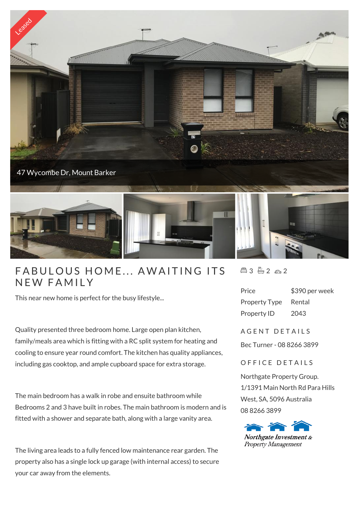

## FABULOUS HON<br>NEW FAMILY

This near new home is perfect for the busy lifestyle...

Quality presented three bedroom home. Large open plan kitchen, family/meals area which is fitting with a RC split system for heating and cooling to ensure year round comfort. The kitchen has quality appliances, including gas cooktop, and ample cupboard space for extra storage.

The main bedroom has a walk in robe and ensuite bathroom while Bedrooms 2 and 3 have built in robes. The main bathroom is modern and is fitted with a shower and separate bath, along with a large vanity area.

The living area leads to a fully fenced low maintenance rear garden. The property also has a single lock up garage (with internal access) to secure your car away from the elements.

 $43 - 2 - 2$ 

| Price                | \$390 per week |
|----------------------|----------------|
| <b>Property Type</b> | Rental         |
| Property ID          | 2043           |

A G F N T D F T A I I S

Bec Turner - 08 8266 3899

## OFFICE DETAILS

Northgate Property Group. 1/1391 Main North Rd Para Hills West, SA, 5096 Australia 08 8266 3899